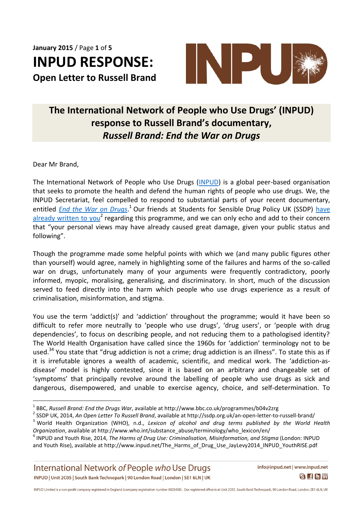**January 2015** / Page **1** of **5 INPUD RESPONSE: Open Letter to Russell Brand**



## **The International Network of People who Use Drugs' (INPUD) response to Russell Brand's documentary,**  *Russell Brand: End the War on Drugs*

Dear Mr Brand,

 $\overline{a}$ 

The International Network of People who Use Drugs [\(INPUD\)](http://www.inpud.net/) is a global peer-based organisation that seeks to promote the health and defend the human rights of people who use drugs. We, the INPUD Secretariat, feel compelled to respond to substantial parts of your recent documentary, entitled *[End the War on Drugs](http://www.bbc.co.uk/programmes/b04v2zrg)*.<sup>1</sup> Our friends at Students for Sensible Drug Policy UK (SSDP) have [already written to you](http://ssdp.org.uk/an-open-letter-to-russell-brand/)<sup>2</sup> regarding this programme, and we can only echo and add to their concern that "your personal views may have already caused great damage, given your public status and following".

Though the programme made some helpful points with which we (and many public figures other than yourself) would agree, namely in highlighting some of the failures and harms of the so-called war on drugs, unfortunately many of your arguments were frequently contradictory, poorly informed, myopic, moralising, generalising, and discriminatory. In short, much of the discussion served to feed directly into the harm which people who use drugs experience as a result of criminalisation, misinformation, and stigma.

You use the term 'addict(s)' and 'addiction' throughout the programme; would it have been so difficult to refer more neutrally to 'people who use drugs', 'drug users', or 'people with drug dependencies', to focus on describing people, and not reducing them to a pathologised identity? The World Health Organisation have called since the 1960s for 'addiction' terminology not to be used.<sup>34</sup> You state that "drug addiction is not a crime; drug addiction is an illness". To state this as if it is irrefutable ignores a wealth of academic, scientific, and medical work. The 'addiction-asdisease' model is highly contested, since it is based on an arbitrary and changeable set of 'symptoms' that principally revolve around the labelling of people who use drugs as sick and dangerous, disempowered, and unable to exercise agency, choice, and self-determination. To

International Network of People who Use Drugs INPUD | Unit 2C05 | South Bank Technopark | 90 London Road | London | SE1 6LN | UK

<sup>1</sup> BBC, *Russell Brand: End the Drugs War*, available at http://www.bbc.co.uk/programmes/b04v2zrg

<sup>2</sup> SSDP UK, 2014, *An Open Letter To Russell Brand*, available at http://ssdp.org.uk/an-open-letter-to-russell-brand/

<sup>3</sup> World Health Organization (WHO), n.d., *Lexicon of alcohol and drug terms published by the World Health Organization*, available at http://www.who.int/substance\_abuse/terminology/who\_lexicon/en/

<sup>4</sup> INPUD and Youth Rise, 2014, *The Harms of Drug Use: Criminalisation, Misinformation, and Stigma* (London: INPUD and Youth Rise), available at http://www.inpud.net/The\_Harms\_of\_Drug\_Use\_JayLevy2014\_INPUD\_YouthRISE.pdf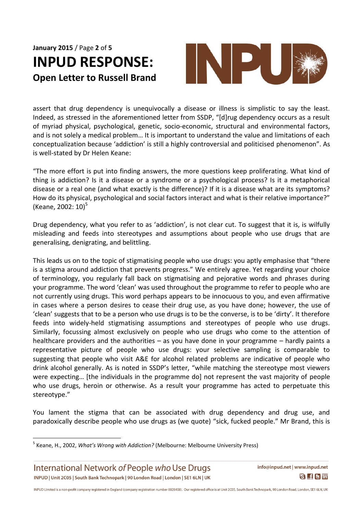**January 2015** / Page **2** of **5 INPUD RESPONSE: Open Letter to Russell Brand**



assert that drug dependency is unequivocally a disease or illness is simplistic to say the least. Indeed, as stressed in the aforementioned letter from SSDP, "[d]rug dependency occurs as a result of myriad physical, psychological, genetic, socio-economic, structural and environmental factors, and is not solely a medical problem… It is important to understand the value and limitations of each conceptualization because 'addiction' is still a highly controversial and politicised phenomenon". As is well-stated by Dr Helen Keane:

"The more effort is put into finding answers, the more questions keep proliferating. What kind of thing is addiction? Is it a disease or a syndrome or a psychological process? Is it a metaphorical disease or a real one (and what exactly is the difference)? If it is a disease what are its symptoms? How do its physical, psychological and social factors interact and what is their relative importance?" (Keane, 2002:  $10^{5}$ 

Drug dependency, what you refer to as 'addiction', is not clear cut. To suggest that it is, is wilfully misleading and feeds into stereotypes and assumptions about people who use drugs that are generalising, denigrating, and belittling.

This leads us on to the topic of stigmatising people who use drugs: you aptly emphasise that "there is a stigma around addiction that prevents progress." We entirely agree. Yet regarding your choice of terminology, you regularly fall back on stigmatising and pejorative words and phrases during your programme. The word 'clean' was used throughout the programme to refer to people who are not currently using drugs. This word perhaps appears to be innocuous to you, and even affirmative in cases where a person desires to cease their drug use, as you have done; however, the use of 'clean' suggests that to be a person who use drugs is to be the converse, is to be 'dirty'. It therefore feeds into widely-held stigmatising assumptions and stereotypes of people who use drugs. Similarly, focussing almost exclusively on people who use drugs who come to the attention of healthcare providers and the authorities – as you have done in your programme – hardly paints a representative picture of people who use drugs: your selective sampling is comparable to suggesting that people who visit A&E for alcohol related problems are indicative of people who drink alcohol generally. As is noted in SSDP's letter, "while matching the stereotype most viewers were expecting... [the individuals in the programme do] not represent the vast majority of people who use drugs, heroin or otherwise. As a result your programme has acted to perpetuate this stereotype."

You lament the stigma that can be associated with drug dependency and drug use, and paradoxically describe people who use drugs as (we quote) "sick, fucked people." Mr Brand, this is

International Network of People who Use Drugs INPUD | Unit 2C05 | South Bank Technopark | 90 London Road | London | SE1 6LN | UK

 $\overline{a}$ 

<sup>5</sup> Keane, H., 2002, *What's Wrong with Addiction?* (Melbourne: Melbourne University Press)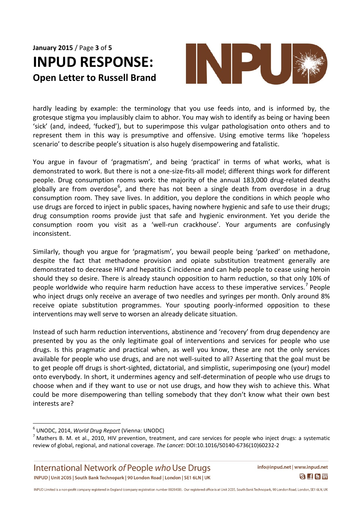## **January 2015** / Page **3** of **5 INPUD RESPONSE: Open Letter to Russell Brand**



hardly leading by example: the terminology that you use feeds into, and is informed by, the grotesque stigma you implausibly claim to abhor. You may wish to identify as being or having been 'sick' (and, indeed, 'fucked'), but to superimpose this vulgar pathologisation onto others and to represent them in this way is presumptive and offensive. Using emotive terms like 'hopeless scenario' to describe people's situation is also hugely disempowering and fatalistic.

You argue in favour of 'pragmatism', and being 'practical' in terms of what works, what is demonstrated to work. But there is not a one-size-fits-all model; different things work for different people. Drug consumption rooms work: the majority of the annual 183,000 drug-related deaths globally are from overdose<sup>6</sup>, and there has not been a single death from overdose in a drug consumption room. They save lives. In addition, you deplore the conditions in which people who use drugs are forced to inject in public spaces, having nowhere hygienic and safe to use their drugs; drug consumption rooms provide just that safe and hygienic environment. Yet you deride the consumption room you visit as a 'well-run crackhouse'. Your arguments are confusingly inconsistent.

Similarly, though you argue for 'pragmatism', you bewail people being 'parked' on methadone, despite the fact that methadone provision and opiate substitution treatment generally are demonstrated to decrease HIV and hepatitis C incidence and can help people to cease using heroin should they so desire. There is already staunch opposition to harm reduction, so that only 10% of people worldwide who require harm reduction have access to these imperative services.<sup>7</sup> People who inject drugs only receive an average of two needles and syringes per month. Only around 8% receive opiate substitution programmes. Your spouting poorly-informed opposition to these interventions may well serve to worsen an already delicate situation.

Instead of such harm reduction interventions, abstinence and 'recovery' from drug dependency are presented by you as the only legitimate goal of interventions and services for people who use drugs. Is this pragmatic and practical when, as well you know, these are not the only services available for people who use drugs, and are not well-suited to all? Asserting that the goal must be to get people off drugs is short-sighted, dictatorial, and simplistic, superimposing one (your) model onto everybody. In short, it undermines agency and self-determination of people who use drugs to choose when and if they want to use or not use drugs, and how they wish to achieve this. What could be more disempowering than telling somebody that they don't know what their own best interests are?

 $\overline{a}$ 

International Network of People who Use Drugs INPUD | Unit 2C05 | South Bank Technopark | 90 London Road | London | SE1 6LN | UK info@inpud.net | www.inpud.net  $S$  f  $S$  in

<sup>6</sup> UNODC, 2014, *World Drug Report* (Vienna: UNODC)

 $<sup>7</sup>$  Mathers B. M. et al., 2010, HIV prevention, treatment, and care services for people who inject drugs: a systematic</sup> review of global, regional, and national coverage. *The Lancet*: DOI:10.1016/S0140-6736(10)60232-2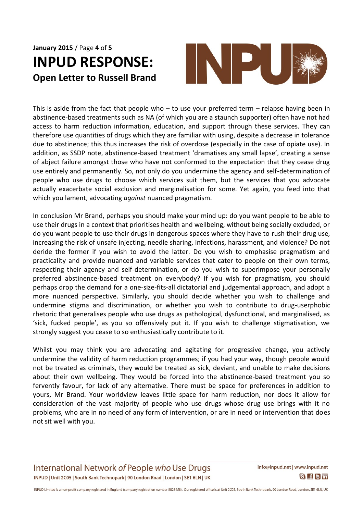## **January 2015** / Page **4** of **5 INPUD RESPONSE: Open Letter to Russell Brand**



This is aside from the fact that people who  $-$  to use your preferred term  $-$  relapse having been in abstinence-based treatments such as NA (of which you are a staunch supporter) often have not had access to harm reduction information, education, and support through these services. They can therefore use quantities of drugs which they are familiar with using, despite a decrease in tolerance due to abstinence; this thus increases the risk of overdose (especially in the case of opiate use). In addition, as SSDP note, abstinence-based treatment 'dramatises any small lapse', creating a sense of abject failure amongst those who have not conformed to the expectation that they cease drug use entirely and permanently. So, not only do you undermine the agency and self-determination of people who use drugs to choose which services suit them, but the services that you advocate actually exacerbate social exclusion and marginalisation for some. Yet again, you feed into that which you lament, advocating *against* nuanced pragmatism.

In conclusion Mr Brand, perhaps you should make your mind up: do you want people to be able to use their drugs in a context that prioritises health and wellbeing, without being socially excluded, or do you want people to use their drugs in dangerous spaces where they have to rush their drug use, increasing the risk of unsafe injecting, needle sharing, infections, harassment, and violence? Do not deride the former if you wish to avoid the latter. Do you wish to emphasise pragmatism and practicality and provide nuanced and variable services that cater to people on their own terms, respecting their agency and self-determination, or do you wish to superimpose your personally preferred abstinence-based treatment on everybody? If you wish for pragmatism, you should perhaps drop the demand for a one-size-fits-all dictatorial and judgemental approach, and adopt a more nuanced perspective. Similarly, you should decide whether you wish to challenge and undermine stigma and discrimination, or whether you wish to contribute to drug-userphobic rhetoric that generalises people who use drugs as pathological, dysfunctional, and marginalised, as 'sick, fucked people', as you so offensively put it. If you wish to challenge stigmatisation, we strongly suggest you cease to so enthusiastically contribute to it.

Whilst you may think you are advocating and agitating for progressive change, you actively undermine the validity of harm reduction programmes; if you had your way, though people would not be treated as criminals, they would be treated as sick, deviant, and unable to make decisions about their own wellbeing. They would be forced into the abstinence-based treatment you so fervently favour, for lack of any alternative. There must be space for preferences in addition to yours, Mr Brand. Your worldview leaves little space for harm reduction, nor does it allow for consideration of the vast majority of people who use drugs whose drug use brings with it no problems, who are in no need of any form of intervention, or are in need or intervention that does not sit well with you.

International Network of People who Use Drugs INPUD | Unit 2C05 | South Bank Technopark | 90 London Road | London | SE1 6LN | UK